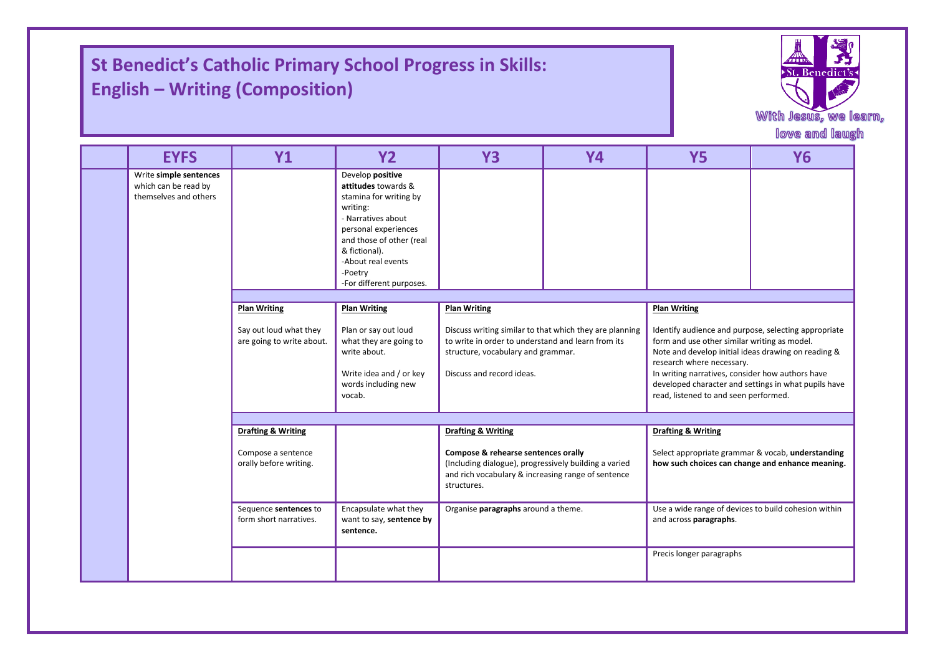## **St Benedict's Catholic Primary School Progress in Skills: English – Writing (Composition)**

I

I



|  |                                                                         |                                                                                          |                                                                                                                                                                                                                                       |                                                                                                                                                                                  |           |                                                                                                                                                                                                                                                                                                                                               | With Jesus, we I<br>love and laug |
|--|-------------------------------------------------------------------------|------------------------------------------------------------------------------------------|---------------------------------------------------------------------------------------------------------------------------------------------------------------------------------------------------------------------------------------|----------------------------------------------------------------------------------------------------------------------------------------------------------------------------------|-----------|-----------------------------------------------------------------------------------------------------------------------------------------------------------------------------------------------------------------------------------------------------------------------------------------------------------------------------------------------|-----------------------------------|
|  | <b>EYFS</b>                                                             | <b>Y1</b>                                                                                | <b>Y2</b>                                                                                                                                                                                                                             | <b>Y3</b>                                                                                                                                                                        | <b>Y4</b> | <b>Y5</b>                                                                                                                                                                                                                                                                                                                                     | <b>Y6</b>                         |
|  | Write simple sentences<br>which can be read by<br>themselves and others |                                                                                          | Develop positive<br>attitudes towards &<br>stamina for writing by<br>writing:<br>- Narratives about<br>personal experiences<br>and those of other (real<br>& fictional).<br>-About real events<br>-Poetry<br>-For different purposes. |                                                                                                                                                                                  |           |                                                                                                                                                                                                                                                                                                                                               |                                   |
|  |                                                                         | <b>Plan Writing</b><br><b>Plan Writing</b><br><b>Plan Writing</b><br><b>Plan Writing</b> |                                                                                                                                                                                                                                       |                                                                                                                                                                                  |           |                                                                                                                                                                                                                                                                                                                                               |                                   |
|  |                                                                         | Say out loud what they<br>are going to write about.                                      | Plan or say out loud<br>what they are going to<br>write about.<br>Write idea and / or key<br>words including new<br>vocab.                                                                                                            | Discuss writing similar to that which they are planning<br>to write in order to understand and learn from its<br>structure, vocabulary and grammar.<br>Discuss and record ideas. |           | Identify audience and purpose, selecting appropriate<br>form and use other similar writing as model.<br>Note and develop initial ideas drawing on reading &<br>research where necessary.<br>In writing narratives, consider how authors have<br>developed character and settings in what pupils have<br>read, listened to and seen performed. |                                   |
|  |                                                                         | <b>Drafting &amp; Writing</b>                                                            |                                                                                                                                                                                                                                       | <b>Drafting &amp; Writing</b>                                                                                                                                                    |           | <b>Drafting &amp; Writing</b>                                                                                                                                                                                                                                                                                                                 |                                   |
|  |                                                                         | Compose a sentence<br>orally before writing.                                             |                                                                                                                                                                                                                                       | Compose & rehearse sentences orally<br>(Including dialogue), progressively building a varied<br>and rich vocabulary & increasing range of sentence<br>structures.                |           | Select appropriate grammar & vocab, understanding<br>how such choices can change and enhance meaning.                                                                                                                                                                                                                                         |                                   |
|  |                                                                         | Sequence sentences to<br>form short narratives.                                          | Encapsulate what they<br>want to say, sentence by<br>sentence.                                                                                                                                                                        | Organise paragraphs around a theme.                                                                                                                                              |           | Use a wide range of devices to build cohesion within<br>and across paragraphs.                                                                                                                                                                                                                                                                |                                   |
|  |                                                                         |                                                                                          |                                                                                                                                                                                                                                       |                                                                                                                                                                                  |           | Precis longer paragraphs                                                                                                                                                                                                                                                                                                                      |                                   |